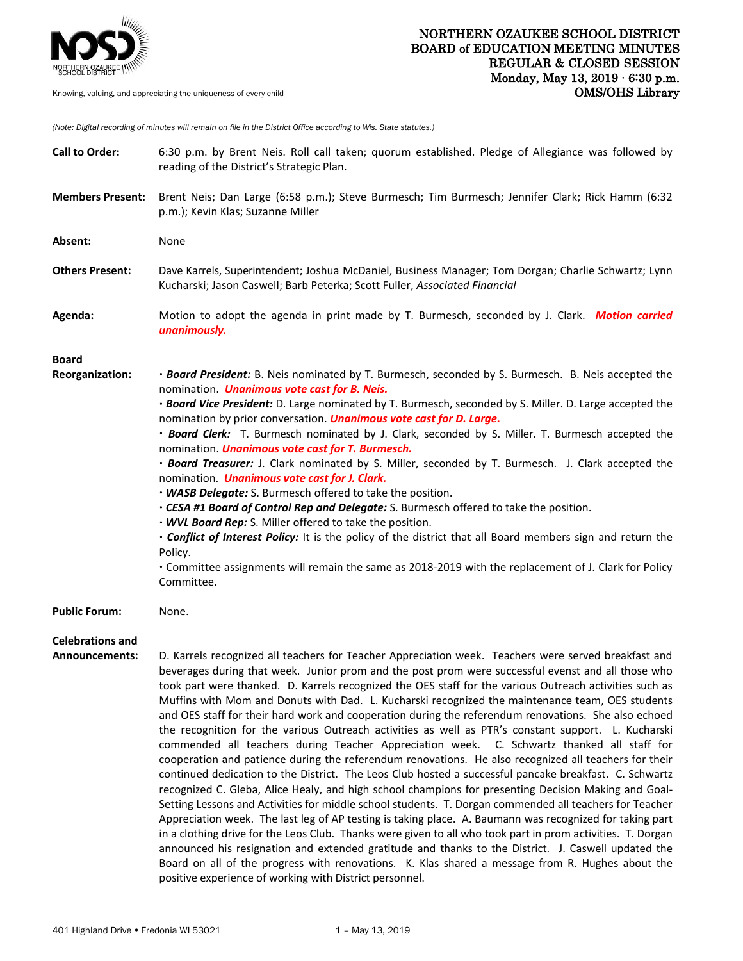

*(Note: Digital recording of minutes will remain on file in the District Office according to Wis. State statutes.)*

| <b>Call to Order:</b>                     | 6:30 p.m. by Brent Neis. Roll call taken; quorum established. Pledge of Allegiance was followed by<br>reading of the District's Strategic Plan.                                                                                                                                                                                                                                                                                                                                                                                                                                                                                                                                                                                                                                                                                                                                                                                                                                                                                                                                                                                                                                                                                                                                                                                                                                                         |
|-------------------------------------------|---------------------------------------------------------------------------------------------------------------------------------------------------------------------------------------------------------------------------------------------------------------------------------------------------------------------------------------------------------------------------------------------------------------------------------------------------------------------------------------------------------------------------------------------------------------------------------------------------------------------------------------------------------------------------------------------------------------------------------------------------------------------------------------------------------------------------------------------------------------------------------------------------------------------------------------------------------------------------------------------------------------------------------------------------------------------------------------------------------------------------------------------------------------------------------------------------------------------------------------------------------------------------------------------------------------------------------------------------------------------------------------------------------|
| <b>Members Present:</b>                   | Brent Neis; Dan Large (6:58 p.m.); Steve Burmesch; Tim Burmesch; Jennifer Clark; Rick Hamm (6:32<br>p.m.); Kevin Klas; Suzanne Miller                                                                                                                                                                                                                                                                                                                                                                                                                                                                                                                                                                                                                                                                                                                                                                                                                                                                                                                                                                                                                                                                                                                                                                                                                                                                   |
| Absent:                                   | None                                                                                                                                                                                                                                                                                                                                                                                                                                                                                                                                                                                                                                                                                                                                                                                                                                                                                                                                                                                                                                                                                                                                                                                                                                                                                                                                                                                                    |
| <b>Others Present:</b>                    | Dave Karrels, Superintendent; Joshua McDaniel, Business Manager; Tom Dorgan; Charlie Schwartz; Lynn<br>Kucharski; Jason Caswell; Barb Peterka; Scott Fuller, Associated Financial                                                                                                                                                                                                                                                                                                                                                                                                                                                                                                                                                                                                                                                                                                                                                                                                                                                                                                                                                                                                                                                                                                                                                                                                                       |
| Agenda:                                   | Motion to adopt the agenda in print made by T. Burmesch, seconded by J. Clark. Motion carried<br>unanimously.                                                                                                                                                                                                                                                                                                                                                                                                                                                                                                                                                                                                                                                                                                                                                                                                                                                                                                                                                                                                                                                                                                                                                                                                                                                                                           |
| <b>Board</b><br>Reorganization:           | . Board President: B. Neis nominated by T. Burmesch, seconded by S. Burmesch. B. Neis accepted the<br>nomination. <i>Unanimous vote cast for B. Neis.</i><br>. Board Vice President: D. Large nominated by T. Burmesch, seconded by S. Miller. D. Large accepted the<br>nomination by prior conversation. <i>Unanimous vote cast for D. Large.</i><br>· Board Clerk: T. Burmesch nominated by J. Clark, seconded by S. Miller. T. Burmesch accepted the<br>nomination. <i>Unanimous vote cast for T. Burmesch.</i><br>· Board Treasurer: J. Clark nominated by S. Miller, seconded by T. Burmesch. J. Clark accepted the<br>nomination. Unanimous vote cast for J. Clark.<br>. WASB Delegate: S. Burmesch offered to take the position.<br>. CESA #1 Board of Control Rep and Delegate: S. Burmesch offered to take the position.<br>. WVL Board Rep: S. Miller offered to take the position.<br>. Conflict of Interest Policy: It is the policy of the district that all Board members sign and return the<br>Policy.<br>• Committee assignments will remain the same as 2018-2019 with the replacement of J. Clark for Policy<br>Committee.                                                                                                                                                                                                                                                           |
| <b>Public Forum:</b>                      | None.                                                                                                                                                                                                                                                                                                                                                                                                                                                                                                                                                                                                                                                                                                                                                                                                                                                                                                                                                                                                                                                                                                                                                                                                                                                                                                                                                                                                   |
| <b>Celebrations and</b><br>Announcements: | D. Karrels recognized all teachers for Teacher Appreciation week. Teachers were served breakfast and<br>beverages during that week. Junior prom and the post prom were successful evenst and all those who<br>took part were thanked. D. Karrels recognized the OES staff for the various Outreach activities such as<br>Muffins with Mom and Donuts with Dad. L. Kucharski recognized the maintenance team, OES students<br>and OES staff for their hard work and cooperation during the referendum renovations. She also echoed<br>the recognition for the various Outreach activities as well as PTR's constant support. L. Kucharski<br>commended all teachers during Teacher Appreciation week. C. Schwartz thanked all staff for<br>cooperation and patience during the referendum renovations. He also recognized all teachers for their<br>continued dedication to the District. The Leos Club hosted a successful pancake breakfast. C. Schwartz<br>recognized C. Gleba, Alice Healy, and high school champions for presenting Decision Making and Goal-<br>Setting Lessons and Activities for middle school students. T. Dorgan commended all teachers for Teacher<br>Appreciation week. The last leg of AP testing is taking place. A. Baumann was recognized for taking part<br>in a clothing drive for the Leos Club. Thanks were given to all who took part in prom activities. T. Dorgan |

announced his resignation and extended gratitude and thanks to the District. J. Caswell updated the Board on all of the progress with renovations. K. Klas shared a message from R. Hughes about the positive experience of working with District personnel.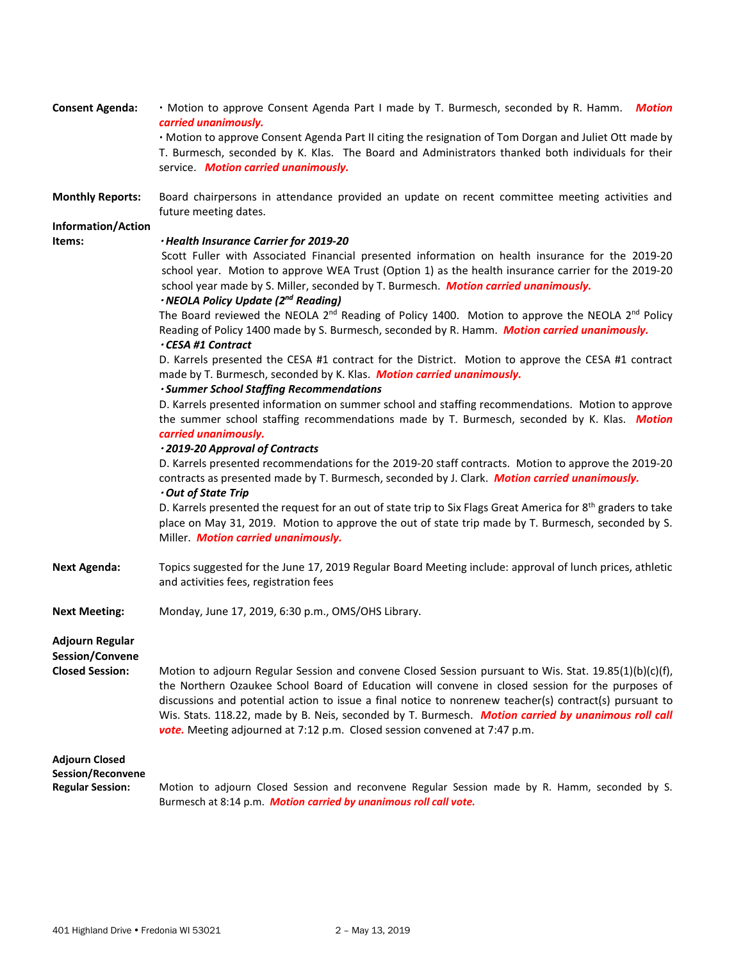| <b>Consent Agenda:</b>                                                       | . Motion to approve Consent Agenda Part I made by T. Burmesch, seconded by R. Hamm. Motion<br>carried unanimously.<br>· Motion to approve Consent Agenda Part II citing the resignation of Tom Dorgan and Juliet Ott made by<br>T. Burmesch, seconded by K. Klas. The Board and Administrators thanked both individuals for their<br>service. Motion carried unanimously.                                                                                                                                                                                                                                                                                                                                                                                                                                                                                                                                                                                                                                                                                                                                                                                                                                                                                                                                                                                                                                                                                                                                                                                                                                                               |
|------------------------------------------------------------------------------|-----------------------------------------------------------------------------------------------------------------------------------------------------------------------------------------------------------------------------------------------------------------------------------------------------------------------------------------------------------------------------------------------------------------------------------------------------------------------------------------------------------------------------------------------------------------------------------------------------------------------------------------------------------------------------------------------------------------------------------------------------------------------------------------------------------------------------------------------------------------------------------------------------------------------------------------------------------------------------------------------------------------------------------------------------------------------------------------------------------------------------------------------------------------------------------------------------------------------------------------------------------------------------------------------------------------------------------------------------------------------------------------------------------------------------------------------------------------------------------------------------------------------------------------------------------------------------------------------------------------------------------------|
| <b>Monthly Reports:</b>                                                      | Board chairpersons in attendance provided an update on recent committee meeting activities and<br>future meeting dates.                                                                                                                                                                                                                                                                                                                                                                                                                                                                                                                                                                                                                                                                                                                                                                                                                                                                                                                                                                                                                                                                                                                                                                                                                                                                                                                                                                                                                                                                                                                 |
| <b>Information/Action</b><br>Items:                                          | · Health Insurance Carrier for 2019-20<br>Scott Fuller with Associated Financial presented information on health insurance for the 2019-20<br>school year. Motion to approve WEA Trust (Option 1) as the health insurance carrier for the 2019-20<br>school year made by S. Miller, seconded by T. Burmesch. Motion carried unanimously.<br>· NEOLA Policy Update (2nd Reading)<br>The Board reviewed the NEOLA 2 <sup>nd</sup> Reading of Policy 1400. Motion to approve the NEOLA 2 <sup>nd</sup> Policy<br>Reading of Policy 1400 made by S. Burmesch, seconded by R. Hamm. Motion carried unanimously.<br><b>• CESA #1 Contract</b><br>D. Karrels presented the CESA #1 contract for the District. Motion to approve the CESA #1 contract<br>made by T. Burmesch, seconded by K. Klas. Motion carried unanimously.<br>· Summer School Staffing Recommendations<br>D. Karrels presented information on summer school and staffing recommendations. Motion to approve<br>the summer school staffing recommendations made by T. Burmesch, seconded by K. Klas. Motion<br>carried unanimously.<br>· 2019-20 Approval of Contracts<br>D. Karrels presented recommendations for the 2019-20 staff contracts. Motion to approve the 2019-20<br>contracts as presented made by T. Burmesch, seconded by J. Clark. Motion carried unanimously.<br>Out of State Trip<br>D. Karrels presented the request for an out of state trip to Six Flags Great America for 8 <sup>th</sup> graders to take<br>place on May 31, 2019. Motion to approve the out of state trip made by T. Burmesch, seconded by S.<br>Miller. Motion carried unanimously. |
| <b>Next Agenda:</b>                                                          | Topics suggested for the June 17, 2019 Regular Board Meeting include: approval of lunch prices, athletic<br>and activities fees, registration fees                                                                                                                                                                                                                                                                                                                                                                                                                                                                                                                                                                                                                                                                                                                                                                                                                                                                                                                                                                                                                                                                                                                                                                                                                                                                                                                                                                                                                                                                                      |
| <b>Next Meeting:</b>                                                         | Monday, June 17, 2019, 6:30 p.m., OMS/OHS Library.                                                                                                                                                                                                                                                                                                                                                                                                                                                                                                                                                                                                                                                                                                                                                                                                                                                                                                                                                                                                                                                                                                                                                                                                                                                                                                                                                                                                                                                                                                                                                                                      |
| <b>Adjourn Regular</b><br>Session/Convene<br><b>Closed Session:</b>          | Motion to adjourn Regular Session and convene Closed Session pursuant to Wis. Stat. 19.85(1)(b)(c)(f),<br>the Northern Ozaukee School Board of Education will convene in closed session for the purposes of<br>discussions and potential action to issue a final notice to nonrenew teacher(s) contract(s) pursuant to<br>Wis. Stats. 118.22, made by B. Neis, seconded by T. Burmesch. Motion carried by unanimous roll call<br>vote. Meeting adjourned at 7:12 p.m. Closed session convened at 7:47 p.m.                                                                                                                                                                                                                                                                                                                                                                                                                                                                                                                                                                                                                                                                                                                                                                                                                                                                                                                                                                                                                                                                                                                              |
| <b>Adjourn Closed</b><br><b>Session/Reconvene</b><br><b>Regular Session:</b> | Motion to adjourn Closed Session and reconvene Regular Session made by R. Hamm, seconded by S.<br>Burmesch at 8:14 p.m. Motion carried by unanimous roll call vote.                                                                                                                                                                                                                                                                                                                                                                                                                                                                                                                                                                                                                                                                                                                                                                                                                                                                                                                                                                                                                                                                                                                                                                                                                                                                                                                                                                                                                                                                     |